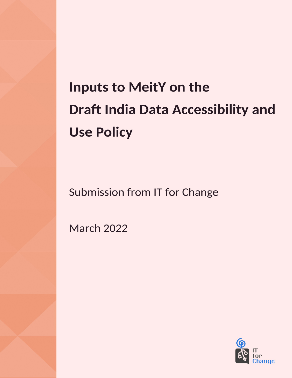# **Inputs to MeitY on the Draft India Data Accessibility and Use Policy**

Submission from IT for Change

**March 2022** 

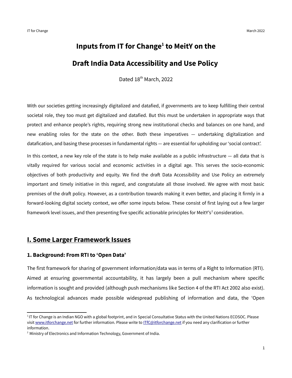# **Inputs from IT for Change[1](#page-1-0) to MeitY on the Draft India Data Accessibility and Use Policy**

Dated 18<sup>th</sup> March, 2022

With our societies getting increasingly digitalized and datafied, if governments are to keep fulfilling their central societal role, they too must get digitalized and datafied. But this must be undertaken in appropriate ways that protect and enhance people's rights, requiring strong new institutional checks and balances on one hand, and new enabling roles for the state on the other. Both these imperatives — undertaking digitalization and datafication, and basing these processes in fundamental rights — are essential for upholding our 'social contract'.

In this context, a new key role of the state is to help make available as a public infrastructure  $-$  all data that is vitally required for various social and economic activities in a digital age. This serves the socio-economic objectives of both productivity and equity. We find the draft Data Accessibility and Use Policy an extremely important and timely initiative in this regard, and congratulate all those involved. We agree with most basic premises of the draft policy. However, as a contribution towards making it even better, and placing it firmly in a forward-looking digital society context, we offer some inputs below. These consist of first laying out a few larger framework level issues, and then presenting five specific actionable principles for MeitY's<sup>[2](#page-1-1)</sup> consideration.

# **I. Some Larger Framework Issues**

#### **1. Background: From RTI to 'Open Data'**

The first framework for sharing of government information/data was in terms of a Right to Information (RTI). Aimed at ensuring governmental accountability, it has largely been a pull mechanism where specific information is sought and provided (although push mechanisms like Section 4 of the RTI Act 2002 also exist). As technological advances made possible widespread publishing of information and data, the 'Open

<span id="page-1-0"></span><sup>&</sup>lt;sup>1</sup>IT for Change is an Indian NGO with a global footprint, and in Special Consultative Status with the United Nations ECOSOC. Please visit [www.itforchange.net](http://www.ItforChange.net/) for further information. Please write to [ITfC@itforchange.net](mailto:ItfC@itforchange.net) if you need any clarification or further information.

<span id="page-1-1"></span> $2$  Ministry of Electronics and Information Technology, Government of India.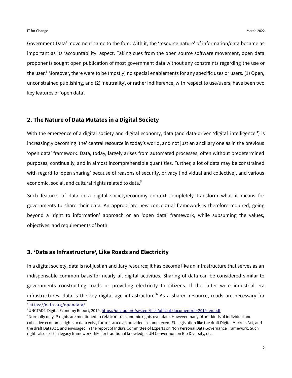<span id="page-2-0"></span>Government Data' movement came to the fore. With it, the 'resource nature' of information/data became as important as its 'accountability' aspect. Taking cues from the open source software movement, open data proponents sought open publication of most government data without any constraints regarding the use or the user.<sup>[3](#page-2-1)</sup> Moreover, there were to be (mostly) no special enablements for any specific uses or users. (1) Open, unconstrained publishing, and (2) 'neutrality', or rather indifference, with respect to use/users, have been two key features of 'open data'.

#### **2. The Nature of Data Mutates in a Digital Society**

<span id="page-2-2"></span>With the emergence of a digital society and digital economy, data (and data-driven 'digital intelligence'<sup>[4](#page-2-3)</sup>) is increasingly becoming 'the' central resource in today's world, and not just an ancillary one as in the previous 'open data' framework. Data, today, largely arises from automated processes, often without predetermined purposes, continually, and in almost incomprehensible quantities. Further, a lot of data may be constrained with regard to 'open sharing' because of reasons of security, privacy (individual and collective), and various economic, social, and cultural rights related to data.<sup>[5](#page-2-5)</sup>

<span id="page-2-4"></span>Such features of data in a digital society/economy context completely transform what it means for governments to share their data. An appropriate new conceptual framework is therefore required, going beyond a 'right to information' approach or an 'open data' framework, while subsuming the values, objectives, and requirements of both.

#### **3. 'Data as Infrastructure', Like Roads and Electricity**

In a digital society, data is not just an ancillary resource; it has become like an infrastructure that serves as an indispensable common basis for nearly all digital activities. Sharing of data can be considered similar to governments constructing roads or providing electricity to citizens. If the latter were industrial era infrastructures, data is the key digital age infrastructure.<sup>[6](#page-3-0)</sup> As a shared resource, roads are necessary for

<span id="page-2-6"></span><span id="page-2-1"></span><sup>[3](#page-2-0)</sup> https://okfn.org/opendata/

<span id="page-2-3"></span>[<sup>4</sup>](#page-2-2)UNCTAD's Digital Economy Report, 2019, [https://unctad.org/system/files/official-document/der2019\\_en.pdf](https://unctad.org/system/files/official-document/der2019_en.pdf)

<span id="page-2-5"></span><sup>&</sup>lt;sup>[5](#page-2-4)</sup>Normally only IP rights are mentioned in relation to economic rights over data. However many other kinds of individual and collective economic rights to data exist, for instance as provided in some recent EU legislation like the draft Digital Markets Act, and the draft Data Act, and envisaged in the report of India's Committee of Experts on Non Personal Data Governance Framework. Such rights also exist in legacy frameworks like for traditional knowledge, UN Convention on Bio Diversity, etc.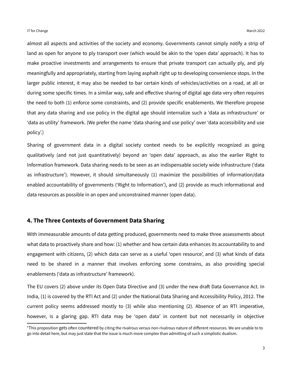almost all aspects and activities of the society and economy. Governments cannot simply notify a strip of land as open for anyone to ply transport over (which would be akin to the 'open data' approach). It has to make proactive investments and arrangements to ensure that private transport can actually ply, and ply meaningfully and appropriately, starting from laying asphalt right up to developing convenience stops. In the larger public interest, it may also be needed to bar certain kinds of vehicles/activities on a road, at all or during some specific times. In a similar way, safe and effective sharing of digital age data very often requires the need to both (1) enforce some constraints, and (2) provide specific enablements. We therefore propose that any data sharing and use policy in the digital age should internalize such a 'data as infrastructure' or 'data as utility' framework. (We prefer the name 'data sharing and use policy' over 'data accessibility and use policy'.)

Sharing of government data in a digital society context needs to be explicitly recognized as going qualitatively (and not just quantitatively) beyond an 'open data' approach, as also the earlier Right to Information framework. Data sharing needs to be seen as an indispensable society wide infrastructure ('data as infrastructure'). However, it should simultaneously (1) maximize the possibilities of information/data enabled accountability of governments ('Right to Information'), and (2) provide as much informational and data resources as possible in an open and unconstrained manner (open data).

#### **4. The Three Contexts of Government Data Sharing**

With immeasurable amounts of data getting produced, governments need to make three assessments about what data to proactively share and how: (1) whether and how certain data enhances its accountability to and engagement with citizens, (2) which data can serve as a useful 'open resource', and (3) what kinds of data need to be shared in a manner that involves enforcing some constrains, as also providing special enablements ('data as infrastructure' framework).

The EU covers (2) above under its Open Data Directive and (3) under the new draft Data Governance Act. In India, (1) is covered by the RTI Act and (2) under the National Data Sharing and Accessibility Policy, 2012. The current policy seems addressed mostly to (3) while also mentioning (2). Absence of an RTI imperative, however, is a glaring gap. RTI data may be 'open data' in content but not necessarily in objective

<span id="page-3-0"></span>[<sup>6</sup>](#page-2-6)This proposition gets often countered by citing the rivalrous versus non-rivalrous nature of different resources. We are unable to to go into detail here, but may just state that the issue is much more complex than admitting of such a simplistic dualism.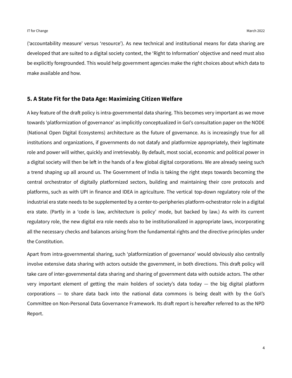('accountability measure' versus 'resource'). As new technical and institutional means for data sharing are developed that are suited to a digital society context, the 'Right to Information' objective and need must also be explicitly foregrounded. This would help government agencies make the right choices about which data to make available and how.

#### **5. A State Fit for the Data Age: Maximizing Citizen Welfare**

A key feature of the draft policy is intra-governmental data sharing. This becomes very important as we move towards 'platformization of governance' as implicitly conceptualized in GoI's consultation paper on the NODE (National Open Digital Ecosystems) architecture as the future of governance. As is increasingly true for all institutions and organizations, if governments do not datafy and platformize appropriately, their legitimate role and power will wither, quickly and irretrievably. By default, most social, economic and political power in a digital society will then be left in the hands of a few global digital corporations. We are already seeing such a trend shaping up all around us. The Government of India is taking the right steps towards becoming the central orchestrator of digitally platformized sectors, building and maintaining their core protocols and platforms, such as with UPI in finance and IDEA in agriculture. The vertical top-down regulatory role of the industrial era state needs to be supplemented by a center-to-peripheries platform-ochestrator role in a digital era state. (Partly in a 'code is law, architecture is policy' mode, but backed by law.) As with its current regulatory role, the new digital era role needs also to be institutionalized in appropriate laws, incorporating all the necessary checks and balances arising from the fundamental rights and the directive principles under the Constitution.

Apart from intra-governmental sharing, such 'platformization of governance' would obviously also centrally involve extensive data sharing with actors outside the government, in both directions. This draft policy will take care of inter-governmental data sharing and sharing of government data with outside actors. The other very important element of getting the main holders of society's data today — the big digital platform corporations — to share data back into the national data commons is being dealt with by the GoI's Committee on Non-Personal Data Governance Framework. Its draft report is hereafter referred to as the NPD Report.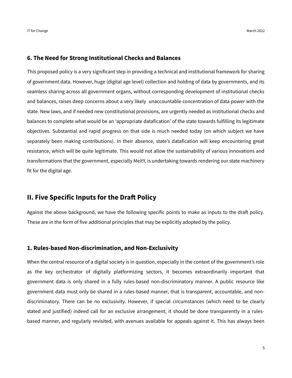#### **6. The Need for Strong Institutional Checks and Balances**

This proposed policy is a very significant step in providing a technical and institutional framework for sharing of government data. However, huge (digital age level) collection and holding of data by governments, and its seamless sharing across all government organs, without corresponding development of institutional checks and balances, raises deep concerns about a very likely unaccountable concentration of data power with the state. New laws, and if needed new constitutional provisions, are urgently needed as institutional checks and balances to complete what would be an 'appropriate datafication' of the state towards fulfilling its legitimate objectives. Substantial and rapid progress on that side is much needed today (on which subject we have separately been making contributions). In their absence, state's datafication will keep encountering great resistance, which will be quite legitimate. This would not allow the sustainability of various innovations and transformations that the government, especially MeitY, is undertaking towards rendering our state machinery fit for the digital age.

# **II. Five Specific Inputs for the Draft Policy**

Against the above background, we have the following specific points to make as inputs to the draft policy. These are in the form of five additional principles that may be explicitly adopted by the policy.

#### **1. Rules-based Non-discrimination, and Non-Exclusivity**

When the central resource of a digital society is in question, especially in the context of the government's role as the key orchestrator of digitally platformizing sectors, it becomes extraordinarily important that government data is only shared in a fully rules-based non-discriminatory manner. A public resource like government data must only be shared in a rules-based manner, that is transparent, accountable, and nondiscriminatory. There can be no exclusivity. However, if special circumstances (which need to be clearly stated and justified) indeed call for an exclusive arrangement, it should be done transparently in a rulesbased manner, and regularly revisited, with avenues available for appeals against it. This has always been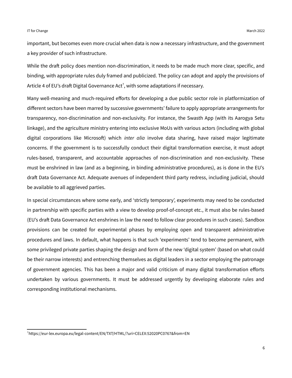important, but becomes even more crucial when data is now a necessary infrastructure, and the government a key provider of such infrastructure.

<span id="page-6-0"></span>While the draft policy does mention non-discrimination, it needs to be made much more clear, specific, and binding, with appropriate rules duly framed and publicized. The policy can adopt and apply the provisions of Article 4 of EU's draft Digital Governance Act<sup>[7](#page-6-1)</sup>, with some adaptations if necessary.

Many well-meaning and much-required efforts for developing a due public sector role in platformization of different sectors have been marred by successive governments' failure to apply appropriate arrangements for transparency, non-discrimination and non-exclusivity. For instance, the Swasth App (with its Aarogya Setu linkage), and the agriculture ministry entering into exclusive MoUs with various actors (including with global digital corporations like Microsoft) which *inter alia* involve data sharing, have raised major legitimate concerns. If the government is to successfully conduct their digital transformation exercise, it must adopt rules-based, transparent, and accountable approaches of non-discrimination and non-exclusivity. These must be enshrined in law (and as a beginning, in binding administrative procedures), as is done in the EU's draft Data Governance Act. Adequate avenues of independent third party redress, including judicial, should be available to all aggrieved parties.

In special circumstances where some early, and 'strictly temporary', experiments may need to be conducted in partnership with specific parties with a view to develop proof-of-concept etc., it must also be rules-based (EU's draft Data Governance Act enshrines in law the need to follow clear procedures in such cases). Sandbox provisions can be created for experimental phases by employing open and transparent administrative procedures and laws. In default, what happens is that such 'experiments' tend to become permanent, with some privileged private parties shaping the design and form of the new 'digital system' (based on what could be their narrow interests) and entrenching themselves as digital leaders in a sector employing the patronage of government agencies. This has been a major and valid criticism of many digital transformation efforts undertaken by various governments. It must be addressed urgently by developing elaborate rules and corresponding institutional mechanisms.

<span id="page-6-1"></span>[<sup>7</sup>](#page-6-0) https://eur-lex.europa.eu/legal-content/EN/TXT/HTML/?uri=CELEX:52020PC0767&from=EN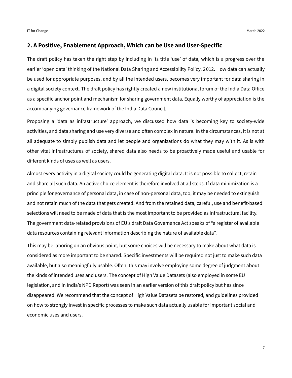#### **2. A Positive, Enablement Approach, Which can be Use and User-Specific**

The draft policy has taken the right step by including in its title 'use' of data, which is a progress over the earlier 'open data' thinking of the National Data Sharing and Accessibility Policy, 2012. How data can actually be used for appropriate purposes, and by all the intended users, becomes very important for data sharing in a digital society context. The draft policy has rightly created a new institutional forum of the India Data Office as a specific anchor point and mechanism for sharing government data. Equally worthy of appreciation is the accompanying governance framework of the India Data Council.

Proposing a 'data as infrastructure' approach, we discussed how data is becoming key to society-wide activities, and data sharing and use very diverse and often complex in nature. In the circumstances, it is not at all adequate to simply publish data and let people and organizations do what they may with it. As is with other vital infrastructures of society, shared data also needs to be proactively made useful and usable for different kinds of uses as well as users.

Almost every activity in a digital society could be generating digital data. It is not possible to collect, retain and share all such data. An active choice element is therefore involved at all steps. If data minimization is a principle for governance of personal data, in case of non-personal data, too, it may be needed to extinguish and not retain much of the data that gets created. And from the retained data, careful, use and benefit-based selections will need to be made of data that is the most important to be provided as infrastructural facility. The government data-related provisions of EU's draft Data Governance Act speaks of "a register of available data resources containing relevant information describing the nature of available data".

This may be laboring on an obvious point, but some choices will be necessary to make about what data is considered as more important to be shared. Specific investments will be required not just to make such data available, but also meaningfully usable. Often, this may involve employing some degree of judgment about the kinds of intended uses and users. The concept of High Value Datasets (also employed in some EU legislation, and in India's NPD Report) was seen in an earlier version of this draft policy but has since disappeared. We recommend that the concept of High Value Datasets be restored, and guidelines provided on how to strongly invest in specific processes to make such data actually usable for important social and economic uses and users.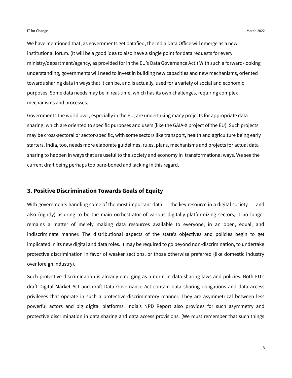We have mentioned that, as governments get datafied, the India Data Office will emerge as a new institutional forum. (It will be a good idea to also have a single point for data requests for every ministry/department/agency, as provided for in the EU's Data Governance Act.) With such a forward-looking understanding, governments will need to invest in building new capacities and new mechanisms, oriented towards sharing data in ways that it can be, and is actually, used for a variety of social and economic purposes. Some data needs may be in real-time, which has its own challenges, requiring complex mechanisms and processes.

Governments the world over, especially in the EU, are undertaking many projects for appropriate data sharing, which are oriented to specific purposes and users (like the GAIA-X project of the EU). Such projects may be cross-sectoral or sector-specific, with some sectors like transport, health and agriculture being early starters. India, too, needs more elaborate guidelines, rules, plans, mechanisms and projects for actual data sharing to happen in ways that are useful to the society and economy in transformational ways. We see the current draft being perhaps too bare-boned and lacking in this regard.

#### **3. Positive Discrimination Towards Goals of Equity**

With governments handling some of the most important data  $-$  the key resource in a digital society  $-$  and also (rightly) aspiring to be the main orchestrator of various digitally-platformizing sectors, it no longer remains a matter of merely making data resources available to everyone, in an open, equal, and indiscriminate manner. The distributional aspects of the state's objectives and policies begin to get implicated in its new digital and data roles. It may be required to go beyond non-discrimination, to undertake protective discrimination in favor of weaker sections, or those otherwise preferred (like domestic industry over foreign industry).

Such protective discrimination is already emerging as a norm in data sharing laws and policies. Both EU's draft Digital Market Act and draft Data Governance Act contain data sharing obligations and data access privileges that operate in such a protective-discriminatory manner. They are asymmetrical between less powerful actors and big digital platforms. India's NPD Report also provides for such asymmetry and protective discrimination in data sharing and data access provisions. (We must remember that such things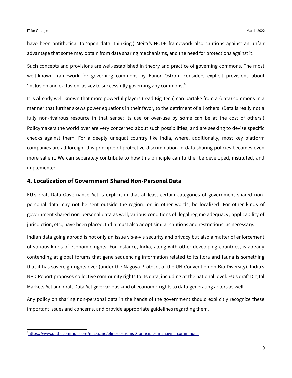have been antithetical to 'open data' thinking.) MeitY's NODE framework also cautions against an unfair advantage that some may obtain from data sharing mechanisms, and the need for protections against it.

<span id="page-9-0"></span>Such concepts and provisions are well-established in theory and practice of governing commons. The most well-known framework for governing commons by Elinor Ostrom considers explicit provisions about  $\cdot$ inclusion and exclusion' as key to successfully governing any commons. $\cdot$ <sup>[8](#page-9-1)</sup>

It is already well-known that more powerful players (read Big Tech) can partake from a (data) commons in a manner that further skews power equations in their favor, to the detriment of all others. (Data is really not a fully non-rivalrous resource in that sense; its use or over-use by some can be at the cost of others.) Policymakers the world over are very concerned about such possibilities, and are seeking to devise specific checks against them. For a deeply unequal country like India, where, additionally, most key platform companies are all foreign, this principle of protective discrimination in data sharing policies becomes even more salient. We can separately contribute to how this principle can further be developed, instituted, and implemented.

#### **4. Localization of Government Shared Non-Personal Data**

EU's draft Data Governance Act is explicit in that at least certain categories of government shared nonpersonal data may not be sent outside the region, or, in other words, be localized. For other kinds of government shared non-personal data as well, various conditions of 'legal regime adequacy', applicability of jurisdiction, etc., have been placed. India must also adopt similar cautions and restrictions, as necessary.

Indian data going abroad is not only an issue vis-a-vis security and privacy but also a matter of enforcement of various kinds of economic rights. For instance, India, along with other developing countries, is already contending at global forums that gene sequencing information related to its flora and fauna is something that it has sovereign rights over (under the Nagoya Protocol of the UN Convention on Bio Diversity). India's NPD Report proposes collective community rights to its data, including at the national level. EU's draft Digital Markets Act and draft Data Act give various kind of economic rights to data-generating actors as well.

Any policy on sharing non-personal data in the hands of the government should explicitly recognize these important issues and concerns, and provide appropriate guidelines regarding them.

<span id="page-9-1"></span>[<sup>8</sup>](#page-9-0) <https://www.onthecommons.org/magazine/elinor-ostroms-8-principles-managing-commmons>